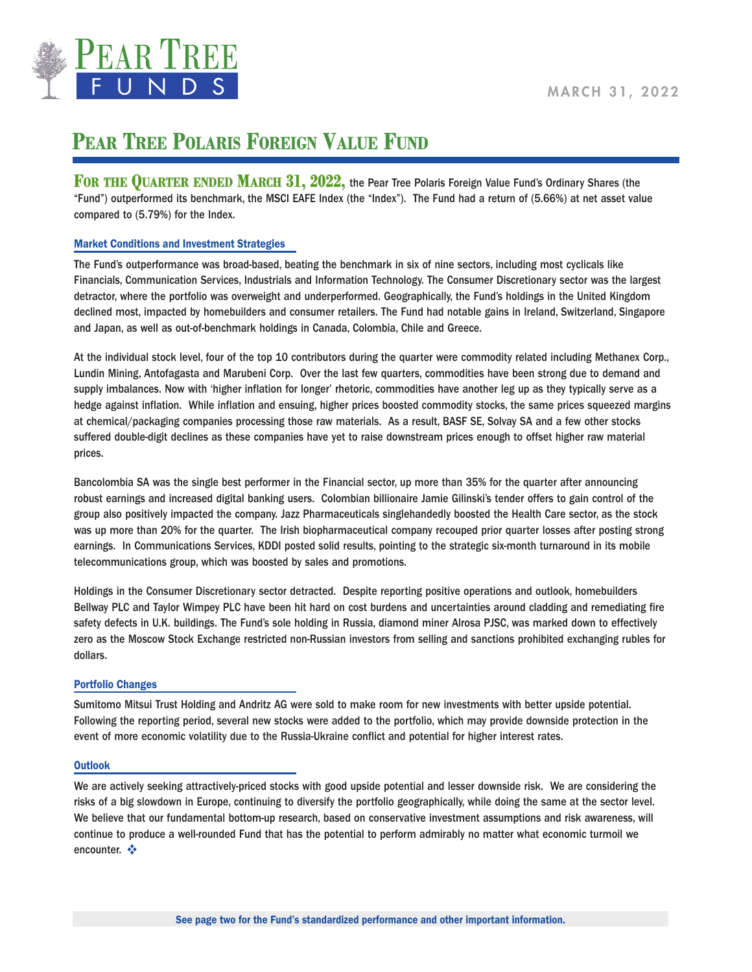

# **PEAR TREE POLARIS FOREIGN VALUE FUND**

**FOR THE QUARTER ENDED MARCH 31, 2022, the Pear Tree Polaris Foreign Value Fund's Ordinary Shares (the** "Fund") outperformed its benchmark, the MSCI EAFE Index (the "Index"). The Fund had a return of (5.66%) at net asset value compared to (5.79%) for the Index.

## Market Conditions and Investment Strategies

The Fund's outperformance was broad-based, beating the benchmark in six of nine sectors, including most cyclicals like Financials, Communication Services, Industrials and Information Technology. The Consumer Discretionary sector was the largest detractor, where the portfolio was overweight and underperformed. Geographically, the Fund's holdings in the United Kingdom declined most, impacted by homebuilders and consumer retailers. The Fund had notable gains in Ireland, Switzerland, Singapore and Japan, as well as out-of-benchmark holdings in Canada, Colombia, Chile and Greece.

At the individual stock level, four of the top 10 contributors during the quarter were commodity related including Methanex Corp., Lundin Mining, Antofagasta and Marubeni Corp. Over the last few quarters, commodities have been strong due to demand and supply imbalances. Now with 'higher inflation for longer' rhetoric, commodities have another leg up as they typically serve as a hedge against inflation. While inflation and ensuing, higher prices boosted commodity stocks, the same prices squeezed margins at chemical/packaging companies processing those raw materials. As a result, BASF SE, Solvay SA and a few other stocks suffered double-digit declines as these companies have yet to raise downstream prices enough to offset higher raw material prices.

Bancolombia SA was the single best performer in the Financial sector, up more than 35% for the quarter after announcing robust earnings and increased digital banking users. Colombian billionaire Jamie Gilinski's tender offers to gain control of the group also positively impacted the company. Jazz Pharmaceuticals singlehandedly boosted the Health Care sector, as the stock was up more than 20% for the quarter. The Irish biopharmaceutical company recouped prior quarter losses after posting strong earnings. In Communications Services, KDDI posted solid results, pointing to the strategic six-month turnaround in its mobile telecommunications group, which was boosted by sales and promotions.

Holdings in the Consumer Discretionary sector detracted. Despite reporting positive operations and outlook, homebuilders Bellway PLC and Taylor Wimpey PLC have been hit hard on cost burdens and uncertainties around cladding and remediating fire safety defects in U.K. buildings. The Fund's sole holding in Russia, diamond miner Alrosa PJSC, was marked down to effectively zero as the Moscow Stock Exchange restricted non-Russian investors from selling and sanctions prohibited exchanging rubles for dollars.

### Portfolio Changes

Sumitomo Mitsui Trust Holding and Andritz AG were sold to make room for new investments with better upside potential. Following the reporting period, several new stocks were added to the portfolio, which may provide downside protection in the event of more economic volatility due to the Russia-Ukraine conflict and potential for higher interest rates.

### **Outlook**

We are actively seeking attractively-priced stocks with good upside potential and lesser downside risk. We are considering the risks of a big slowdown in Europe, continuing to diversify the portfolio geographically, while doing the same at the sector level. We believe that our fundamental bottom-up research, based on conservative investment assumptions and risk awareness, will continue to produce a well-rounded Fund that has the potential to perform admirably no matter what economic turmoil we encounter. ❖